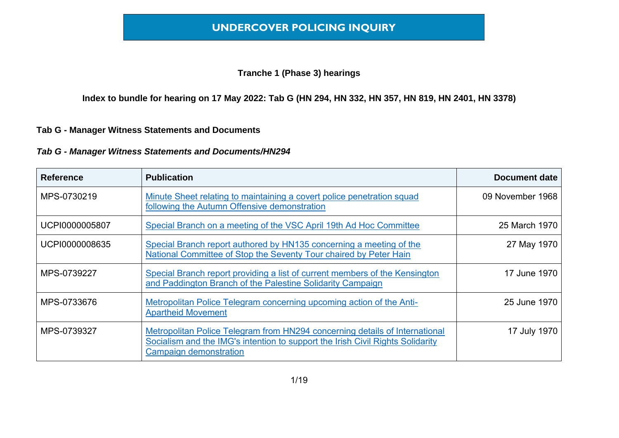#### **Tranche 1 (Phase 3) hearings**

**Index to bundle for hearing on 17 May 2022: Tab G (HN 294, HN 332, HN 357, HN 819, HN 2401, HN 3378)**

#### **Tab G - Manager Witness Statements and Documents**

| <b>Reference</b> | <b>Publication</b>                                                                                                                                                                             | <b>Document date</b> |
|------------------|------------------------------------------------------------------------------------------------------------------------------------------------------------------------------------------------|----------------------|
| MPS-0730219      | Minute Sheet relating to maintaining a covert police penetration squad<br>following the Autumn Offensive demonstration                                                                         | 09 November 1968     |
| UCPI0000005807   | Special Branch on a meeting of the VSC April 19th Ad Hoc Committee                                                                                                                             | 25 March 1970        |
| UCPI0000008635   | Special Branch report authored by HN135 concerning a meeting of the<br>National Committee of Stop the Seventy Tour chaired by Peter Hain                                                       | 27 May 1970          |
| MPS-0739227      | Special Branch report providing a list of current members of the Kensington<br>and Paddington Branch of the Palestine Solidarity Campaign                                                      | 17 June 1970         |
| MPS-0733676      | Metropolitan Police Telegram concerning upcoming action of the Anti-<br><b>Apartheid Movement</b>                                                                                              | 25 June 1970         |
| MPS-0739327      | Metropolitan Police Telegram from HN294 concerning details of International<br>Socialism and the IMG's intention to support the Irish Civil Rights Solidarity<br><b>Campaign demonstration</b> | 17 July 1970         |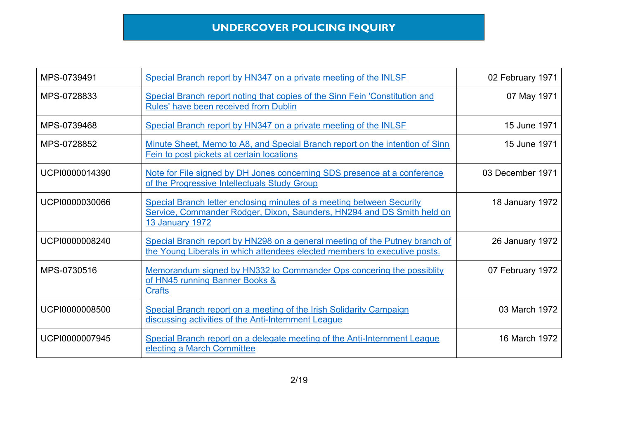| MPS-0739491    | Special Branch report by HN347 on a private meeting of the INLSF                                                                                                          | 02 February 1971       |
|----------------|---------------------------------------------------------------------------------------------------------------------------------------------------------------------------|------------------------|
| MPS-0728833    | Special Branch report noting that copies of the Sinn Fein 'Constitution and<br>Rules' have been received from Dublin                                                      | 07 May 1971            |
| MPS-0739468    | Special Branch report by HN347 on a private meeting of the INLSF                                                                                                          | 15 June 1971           |
| MPS-0728852    | Minute Sheet, Memo to A8, and Special Branch report on the intention of Sinn<br>Fein to post pickets at certain locations                                                 | 15 June 1971           |
| UCPI0000014390 | Note for File signed by DH Jones concerning SDS presence at a conference<br>of the Progressive Intellectuals Study Group                                                  | 03 December 1971       |
| UCPI0000030066 | Special Branch letter enclosing minutes of a meeting between Security<br>Service, Commander Rodger, Dixon, Saunders, HN294 and DS Smith held on<br><b>13 January 1972</b> | <b>18 January 1972</b> |
| UCPI0000008240 | Special Branch report by HN298 on a general meeting of the Putney branch of<br>the Young Liberals in which attendees elected members to executive posts.                  | <b>26 January 1972</b> |
| MPS-0730516    | Memorandum signed by HN332 to Commander Ops concering the possibility<br>of HN45 running Banner Books &<br><b>Crafts</b>                                                  | 07 February 1972       |
| UCPI0000008500 | Special Branch report on a meeting of the Irish Solidarity Campaign<br>discussing activities of the Anti-Internment League                                                | 03 March 1972          |
| UCPI0000007945 | Special Branch report on a delegate meeting of the Anti-Internment League<br>electing a March Committee                                                                   | 16 March 1972          |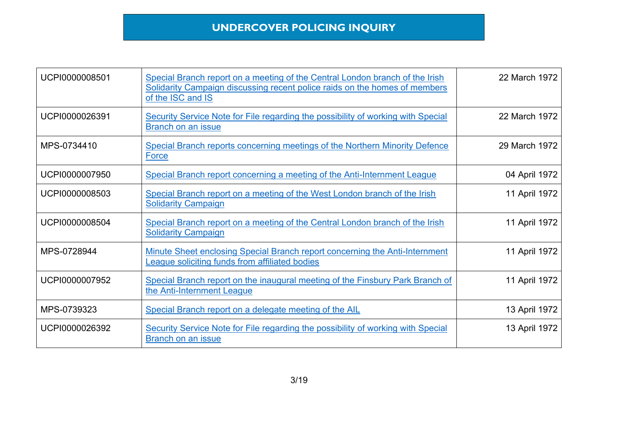| UCPI0000008501 | Special Branch report on a meeting of the Central London branch of the Irish<br>Solidarity Campaign discussing recent police raids on the homes of members<br>of the ISC and IS | 22 March 1972 |
|----------------|---------------------------------------------------------------------------------------------------------------------------------------------------------------------------------|---------------|
| UCPI0000026391 | Security Service Note for File regarding the possibility of working with Special<br>Branch on an issue                                                                          | 22 March 1972 |
| MPS-0734410    | Special Branch reports concerning meetings of the Northern Minority Defence<br><b>Force</b>                                                                                     | 29 March 1972 |
| UCPI0000007950 | Special Branch report concerning a meeting of the Anti-Internment League                                                                                                        | 04 April 1972 |
| UCPI0000008503 | Special Branch report on a meeting of the West London branch of the Irish<br><b>Solidarity Campaign</b>                                                                         | 11 April 1972 |
| UCPI0000008504 | Special Branch report on a meeting of the Central London branch of the Irish<br><b>Solidarity Campaign</b>                                                                      | 11 April 1972 |
| MPS-0728944    | Minute Sheet enclosing Special Branch report concerning the Anti-Internment<br>League soliciting funds from affiliated bodies                                                   | 11 April 1972 |
| UCPI0000007952 | Special Branch report on the inaugural meeting of the Finsbury Park Branch of<br>the Anti-Internment League                                                                     | 11 April 1972 |
| MPS-0739323    | Special Branch report on a delegate meeting of the AIL                                                                                                                          | 13 April 1972 |
| UCPI0000026392 | Security Service Note for File regarding the possibility of working with Special<br>Branch on an issue                                                                          | 13 April 1972 |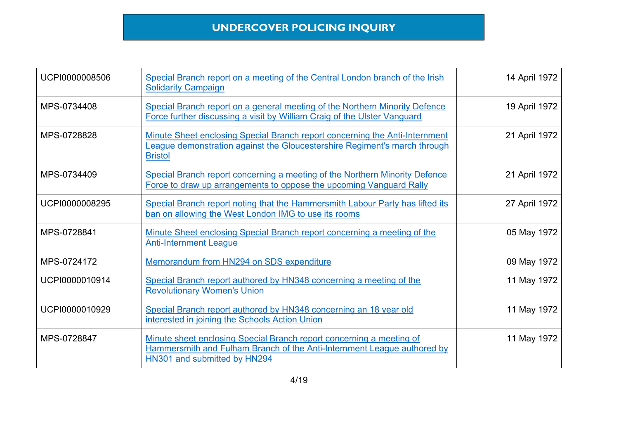| UCPI0000008506 | Special Branch report on a meeting of the Central London branch of the Irish<br><b>Solidarity Campaign</b>                                                                      | 14 April 1972 |
|----------------|---------------------------------------------------------------------------------------------------------------------------------------------------------------------------------|---------------|
| MPS-0734408    | Special Branch report on a general meeting of the Northern Minority Defence<br>Force further discussing a visit by William Craig of the Ulster Vanguard                         | 19 April 1972 |
| MPS-0728828    | Minute Sheet enclosing Special Branch report concerning the Anti-Internment<br>League demonstration against the Gloucestershire Regiment's march through<br><b>Bristol</b>      | 21 April 1972 |
| MPS-0734409    | Special Branch report concerning a meeting of the Northern Minority Defence<br>Force to draw up arrangements to oppose the upcoming Vanguard Rally                              | 21 April 1972 |
| UCPI0000008295 | Special Branch report noting that the Hammersmith Labour Party has lifted its<br>ban on allowing the West London IMG to use its rooms                                           | 27 April 1972 |
| MPS-0728841    | Minute Sheet enclosing Special Branch report concerning a meeting of the<br><b>Anti-Internment League</b>                                                                       | 05 May 1972   |
| MPS-0724172    | Memorandum from HN294 on SDS expenditure                                                                                                                                        | 09 May 1972   |
| UCPI0000010914 | Special Branch report authored by HN348 concerning a meeting of the<br><b>Revolutionary Women's Union</b>                                                                       | 11 May 1972   |
| UCPI0000010929 | Special Branch report authored by HN348 concerning an 18 year old<br>interested in joining the Schools Action Union                                                             | 11 May 1972   |
| MPS-0728847    | Minute sheet enclosing Special Branch report concerning a meeting of<br>Hammersmith and Fulham Branch of the Anti-Internment League authored by<br>HN301 and submitted by HN294 | 11 May 1972   |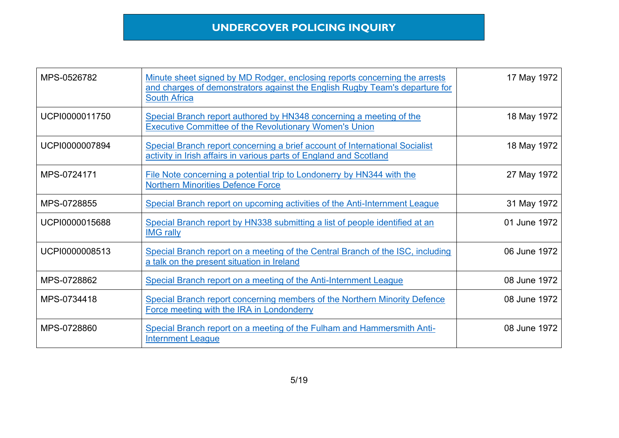| MPS-0526782    | Minute sheet signed by MD Rodger, enclosing reports concerning the arrests<br>and charges of demonstrators against the English Rugby Team's departure for<br><b>South Africa</b> | 17 May 1972  |
|----------------|----------------------------------------------------------------------------------------------------------------------------------------------------------------------------------|--------------|
| UCPI0000011750 | Special Branch report authored by HN348 concerning a meeting of the<br><b>Executive Committee of the Revolutionary Women's Union</b>                                             | 18 May 1972  |
| UCPI0000007894 | Special Branch report concerning a brief account of International Socialist<br>activity in Irish affairs in various parts of England and Scotland                                | 18 May 1972  |
| MPS-0724171    | File Note concerning a potential trip to Londonerry by HN344 with the<br><b>Northern Minorities Defence Force</b>                                                                | 27 May 1972  |
| MPS-0728855    | Special Branch report on upcoming activities of the Anti-Internment League                                                                                                       | 31 May 1972  |
| UCPI0000015688 | Special Branch report by HN338 submitting a list of people identified at an<br><b>IMG rally</b>                                                                                  | 01 June 1972 |
| UCPI0000008513 | Special Branch report on a meeting of the Central Branch of the ISC, including<br>a talk on the present situation in Ireland                                                     | 06 June 1972 |
| MPS-0728862    | Special Branch report on a meeting of the Anti-Internment League                                                                                                                 | 08 June 1972 |
| MPS-0734418    | Special Branch report concerning members of the Northern Minority Defence<br>Force meeting with the IRA in Londonderry                                                           | 08 June 1972 |
| MPS-0728860    | Special Branch report on a meeting of the Fulham and Hammersmith Anti-<br><b>Internment League</b>                                                                               | 08 June 1972 |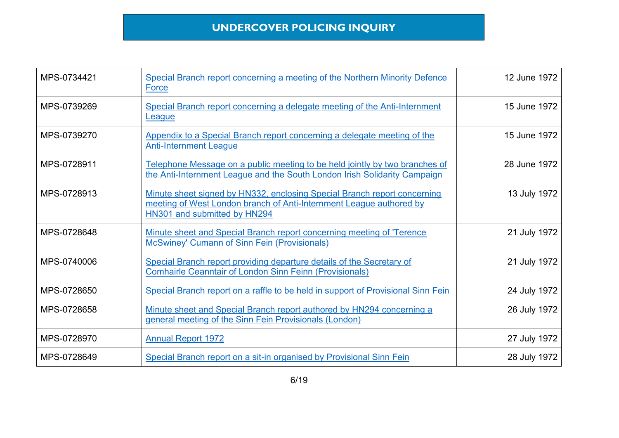| MPS-0734421 | Special Branch report concerning a meeting of the Northern Minority Defence<br><b>Force</b>                                                                                     | 12 June 1972 |
|-------------|---------------------------------------------------------------------------------------------------------------------------------------------------------------------------------|--------------|
| MPS-0739269 | Special Branch report concerning a delegate meeting of the Anti-Internment<br>League                                                                                            | 15 June 1972 |
| MPS-0739270 | Appendix to a Special Branch report concerning a delegate meeting of the<br><b>Anti-Internment League</b>                                                                       | 15 June 1972 |
| MPS-0728911 | Telephone Message on a public meeting to be held jointly by two branches of<br>the Anti-Internment League and the South London Irish Solidarity Campaign                        | 28 June 1972 |
| MPS-0728913 | Minute sheet signed by HN332, enclosing Special Branch report concerning<br>meeting of West London branch of Anti-Internment League authored by<br>HN301 and submitted by HN294 | 13 July 1972 |
| MPS-0728648 | Minute sheet and Special Branch report concerning meeting of 'Terence<br><b>McSwiney' Cumann of Sinn Fein (Provisionals)</b>                                                    | 21 July 1972 |
| MPS-0740006 | Special Branch report providing departure details of the Secretary of<br><b>Comhairle Ceanntair of London Sinn Feinn (Provisionals)</b>                                         | 21 July 1972 |
| MPS-0728650 | Special Branch report on a raffle to be held in support of Provisional Sinn Fein                                                                                                | 24 July 1972 |
| MPS-0728658 | Minute sheet and Special Branch report authored by HN294 concerning a<br>general meeting of the Sinn Fein Provisionals (London)                                                 | 26 July 1972 |
| MPS-0728970 | <b>Annual Report 1972</b>                                                                                                                                                       | 27 July 1972 |
| MPS-0728649 | Special Branch report on a sit-in organised by Provisional Sinn Fein                                                                                                            | 28 July 1972 |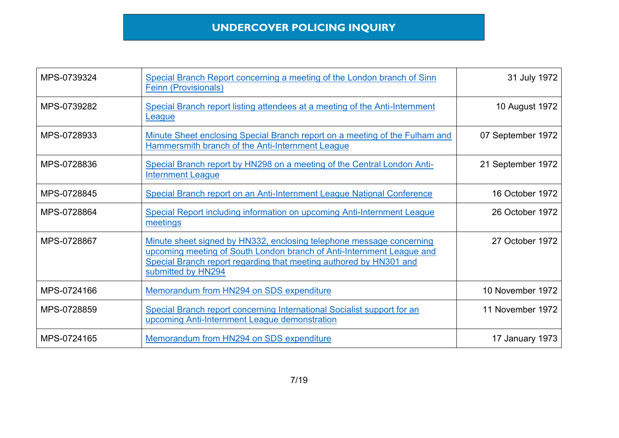| MPS-0739324 | Special Branch Report concerning a meeting of the London branch of Sinn<br><b>Feinn (Provisionals)</b>                                                                                                                                    | 31 July 1972      |
|-------------|-------------------------------------------------------------------------------------------------------------------------------------------------------------------------------------------------------------------------------------------|-------------------|
| MPS-0739282 | Special Branch report listing attendees at a meeting of the Anti-Internment<br>League                                                                                                                                                     | 10 August 1972    |
| MPS-0728933 | Minute Sheet enclosing Special Branch report on a meeting of the Fulham and<br>Hammersmith branch of the Anti-Internment League                                                                                                           | 07 September 1972 |
| MPS-0728836 | Special Branch report by HN298 on a meeting of the Central London Anti-<br><b>Internment League</b>                                                                                                                                       | 21 September 1972 |
| MPS-0728845 | Special Branch report on an Anti-Internment League National Conference                                                                                                                                                                    | 16 October 1972   |
| MPS-0728864 | Special Report including information on upcoming Anti-Internment League<br>meetings                                                                                                                                                       | 26 October 1972   |
| MPS-0728867 | Minute sheet signed by HN332, enclosing telephone message concerning<br>upcoming meeting of South London branch of Anti-Internment League and<br>Special Branch report regarding that meeting authored by HN301 and<br>submitted by HN294 | 27 October 1972   |
| MPS-0724166 | Memorandum from HN294 on SDS expenditure                                                                                                                                                                                                  | 10 November 1972  |
| MPS-0728859 | Special Branch report concerning International Socialist support for an<br>upcoming Anti-Internment League demonstration                                                                                                                  | 11 November 1972  |
| MPS-0724165 | Memorandum from HN294 on SDS expenditure                                                                                                                                                                                                  | 17 January 1973   |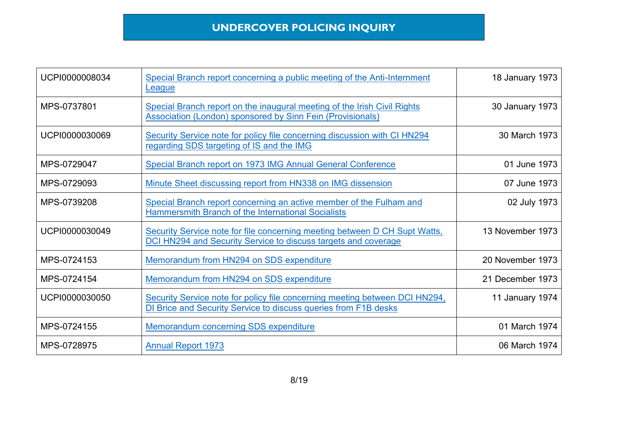| UCPI0000008034 | Special Branch report concerning a public meeting of the Anti-Internment<br>League                                                             | 18 January 1973  |
|----------------|------------------------------------------------------------------------------------------------------------------------------------------------|------------------|
| MPS-0737801    | Special Branch report on the inaugural meeting of the Irish Civil Rights<br><b>Association (London) sponsored by Sinn Fein (Provisionals)</b>  | 30 January 1973  |
| UCPI0000030069 | Security Service note for policy file concerning discussion with CI HN294<br>regarding SDS targeting of IS and the IMG                         | 30 March 1973    |
| MPS-0729047    | Special Branch report on 1973 IMG Annual General Conference                                                                                    | 01 June 1973     |
| MPS-0729093    | Minute Sheet discussing report from HN338 on IMG dissension                                                                                    | 07 June 1973     |
| MPS-0739208    | Special Branch report concerning an active member of the Fulham and<br><b>Hammersmith Branch of the International Socialists</b>               | 02 July 1973     |
| UCPI0000030049 | Security Service note for file concerning meeting between D CH Supt Watts,<br>DCI HN294 and Security Service to discuss targets and coverage   | 13 November 1973 |
| MPS-0724153    | Memorandum from HN294 on SDS expenditure                                                                                                       | 20 November 1973 |
| MPS-0724154    | Memorandum from HN294 on SDS expenditure                                                                                                       | 21 December 1973 |
| UCPI0000030050 | Security Service note for policy file concerning meeting between DCI HN294,<br>DI Brice and Security Service to discuss queries from F1B desks | 11 January 1974  |
| MPS-0724155    | <b>Memorandum concerning SDS expenditure</b>                                                                                                   | 01 March 1974    |
| MPS-0728975    | <b>Annual Report 1973</b>                                                                                                                      | 06 March 1974    |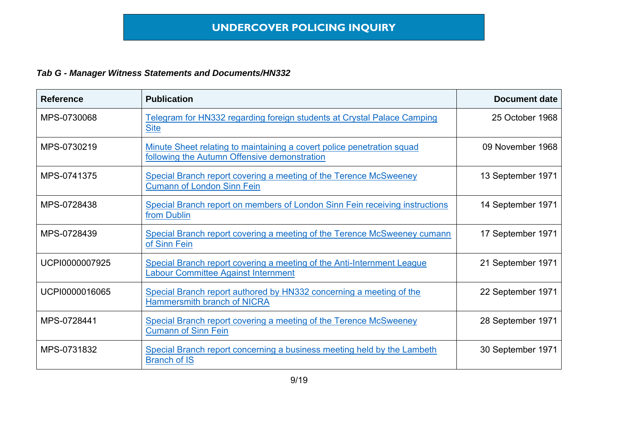| <b>Reference</b> | <b>Publication</b>                                                                                                     | <b>Document date</b> |
|------------------|------------------------------------------------------------------------------------------------------------------------|----------------------|
| MPS-0730068      | Telegram for HN332 regarding foreign students at Crystal Palace Camping<br><b>Site</b>                                 | 25 October 1968      |
| MPS-0730219      | Minute Sheet relating to maintaining a covert police penetration squad<br>following the Autumn Offensive demonstration | 09 November 1968     |
| MPS-0741375      | Special Branch report covering a meeting of the Terence McSweeney<br><b>Cumann of London Sinn Fein</b>                 | 13 September 1971    |
| MPS-0728438      | Special Branch report on members of London Sinn Fein receiving instructions<br>from Dublin                             | 14 September 1971    |
| MPS-0728439      | Special Branch report covering a meeting of the Terence McSweeney cumann<br>of Sinn Fein                               | 17 September 1971    |
| UCPI0000007925   | Special Branch report covering a meeting of the Anti-Internment League<br><b>Labour Committee Against Internment</b>   | 21 September 1971    |
| UCPI0000016065   | Special Branch report authored by HN332 concerning a meeting of the<br>Hammersmith branch of NICRA                     | 22 September 1971    |
| MPS-0728441      | Special Branch report covering a meeting of the Terence McSweeney<br><b>Cumann of Sinn Fein</b>                        | 28 September 1971    |
| MPS-0731832      | Special Branch report concerning a business meeting held by the Lambeth<br><b>Branch of IS</b>                         | 30 September 1971    |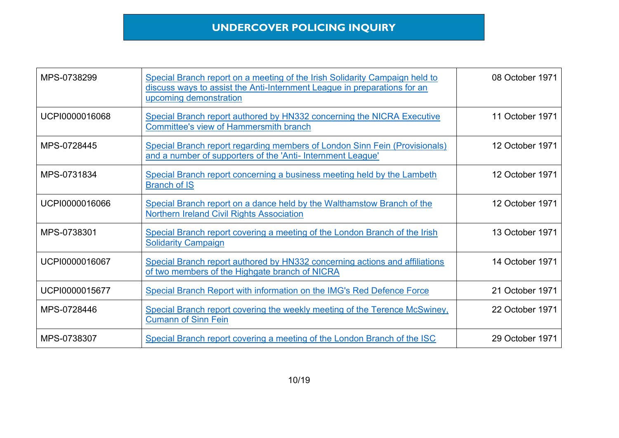| MPS-0738299    | Special Branch report on a meeting of the Irish Solidarity Campaign held to<br>discuss ways to assist the Anti-Internment League in preparations for an<br>upcoming demonstration | 08 October 1971 |
|----------------|-----------------------------------------------------------------------------------------------------------------------------------------------------------------------------------|-----------------|
| UCPI0000016068 | Special Branch report authored by HN332 concerning the NICRA Executive<br><b>Committee's view of Hammersmith branch</b>                                                           | 11 October 1971 |
| MPS-0728445    | Special Branch report regarding members of London Sinn Fein (Provisionals)<br>and a number of supporters of the 'Anti- Internment League'                                         | 12 October 1971 |
| MPS-0731834    | Special Branch report concerning a business meeting held by the Lambeth<br><b>Branch of IS</b>                                                                                    | 12 October 1971 |
| UCPI0000016066 | Special Branch report on a dance held by the Walthamstow Branch of the<br><b>Northern Ireland Civil Rights Association</b>                                                        | 12 October 1971 |
| MPS-0738301    | Special Branch report covering a meeting of the London Branch of the Irish<br><b>Solidarity Campaign</b>                                                                          | 13 October 1971 |
| UCPI0000016067 | Special Branch report authored by HN332 concerning actions and affiliations<br>of two members of the Highgate branch of NICRA                                                     | 14 October 1971 |
| UCPI0000015677 | Special Branch Report with information on the IMG's Red Defence Force                                                                                                             | 21 October 1971 |
| MPS-0728446    | Special Branch report covering the weekly meeting of the Terence McSwiney,<br><b>Cumann of Sinn Fein</b>                                                                          | 22 October 1971 |
| MPS-0738307    | Special Branch report covering a meeting of the London Branch of the ISC                                                                                                          | 29 October 1971 |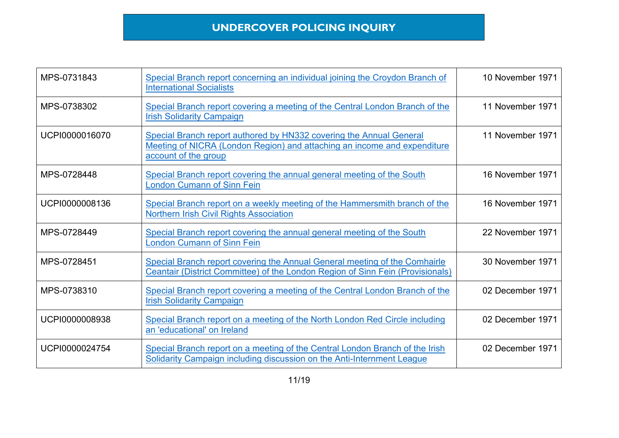| MPS-0731843    | Special Branch report concerning an individual joining the Croydon Branch of<br><b>International Socialists</b>                                                         | 10 November 1971 |
|----------------|-------------------------------------------------------------------------------------------------------------------------------------------------------------------------|------------------|
| MPS-0738302    | Special Branch report covering a meeting of the Central London Branch of the<br><b>Irish Solidarity Campaign</b>                                                        | 11 November 1971 |
| UCPI0000016070 | Special Branch report authored by HN332 covering the Annual General<br>Meeting of NICRA (London Region) and attaching an income and expenditure<br>account of the group | 11 November 1971 |
| MPS-0728448    | Special Branch report covering the annual general meeting of the South<br><b>London Cumann of Sinn Fein</b>                                                             | 16 November 1971 |
| UCPI0000008136 | Special Branch report on a weekly meeting of the Hammersmith branch of the<br><b>Northern Irish Civil Rights Association</b>                                            | 16 November 1971 |
| MPS-0728449    | Special Branch report covering the annual general meeting of the South<br><b>London Cumann of Sinn Fein</b>                                                             | 22 November 1971 |
| MPS-0728451    | Special Branch report covering the Annual General meeting of the Comhairle<br>Ceantair (District Committee) of the London Region of Sinn Fein (Provisionals)            | 30 November 1971 |
| MPS-0738310    | Special Branch report covering a meeting of the Central London Branch of the<br><b>Irish Solidarity Campaign</b>                                                        | 02 December 1971 |
| UCPI0000008938 | Special Branch report on a meeting of the North London Red Circle including<br>an 'educational' on Ireland                                                              | 02 December 1971 |
| UCPI0000024754 | Special Branch report on a meeting of the Central London Branch of the Irish<br>Solidarity Campaign including discussion on the Anti-Internment League                  | 02 December 1971 |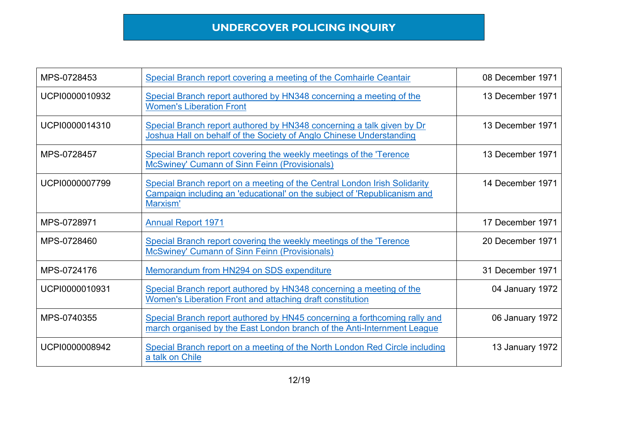| MPS-0728453    | Special Branch report covering a meeting of the Comhairle Ceantair                                                                                                | 08 December 1971 |
|----------------|-------------------------------------------------------------------------------------------------------------------------------------------------------------------|------------------|
| UCPI0000010932 | Special Branch report authored by HN348 concerning a meeting of the<br><b>Women's Liberation Front</b>                                                            | 13 December 1971 |
| UCPI0000014310 | Special Branch report authored by HN348 concerning a talk given by Dr<br>Joshua Hall on behalf of the Society of Anglo Chinese Understanding                      | 13 December 1971 |
| MPS-0728457    | Special Branch report covering the weekly meetings of the 'Terence<br><b>McSwiney' Cumann of Sinn Feinn (Provisionals)</b>                                        | 13 December 1971 |
| UCPI0000007799 | Special Branch report on a meeting of the Central London Irish Solidarity<br>Campaign including an 'educational' on the subject of 'Republicanism and<br>Marxism' | 14 December 1971 |
| MPS-0728971    | <b>Annual Report 1971</b>                                                                                                                                         | 17 December 1971 |
| MPS-0728460    | Special Branch report covering the weekly meetings of the 'Terence<br><b>McSwiney' Cumann of Sinn Feinn (Provisionals)</b>                                        | 20 December 1971 |
| MPS-0724176    | Memorandum from HN294 on SDS expenditure                                                                                                                          | 31 December 1971 |
| UCPI0000010931 | Special Branch report authored by HN348 concerning a meeting of the<br>Women's Liberation Front and attaching draft constitution                                  | 04 January 1972  |
| MPS-0740355    | Special Branch report authored by HN45 concerning a forthcoming rally and<br>march organised by the East London branch of the Anti-Internment League              | 06 January 1972  |
| UCPI0000008942 | Special Branch report on a meeting of the North London Red Circle including<br>a talk on Chile                                                                    | 13 January 1972  |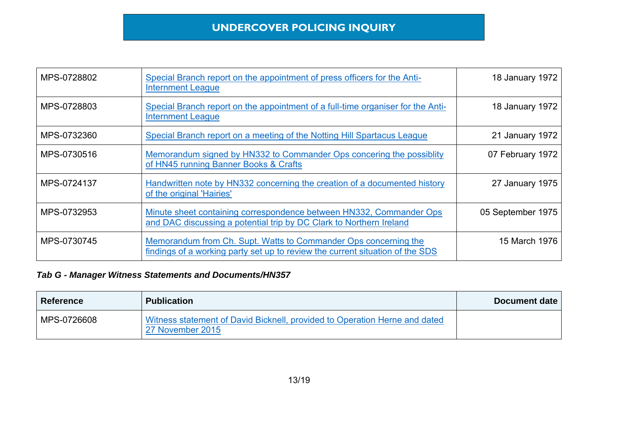| MPS-0728802 | Special Branch report on the appointment of press officers for the Anti-<br><b>Internment League</b>                                             | 18 January 1972   |
|-------------|--------------------------------------------------------------------------------------------------------------------------------------------------|-------------------|
| MPS-0728803 | Special Branch report on the appointment of a full-time organiser for the Anti-<br><b>Internment League</b>                                      | 18 January 1972   |
| MPS-0732360 | Special Branch report on a meeting of the Notting Hill Spartacus League                                                                          | 21 January 1972   |
| MPS-0730516 | Memorandum signed by HN332 to Commander Ops concering the possibility<br>of HN45 running Banner Books & Crafts                                   | 07 February 1972  |
| MPS-0724137 | Handwritten note by HN332 concerning the creation of a documented history<br>of the original 'Hairies'                                           | 27 January 1975   |
| MPS-0732953 | Minute sheet containing correspondence between HN332, Commander Ops<br>and DAC discussing a potential trip by DC Clark to Northern Ireland       | 05 September 1975 |
| MPS-0730745 | Memorandum from Ch. Supt. Watts to Commander Ops concerning the<br>findings of a working party set up to review the current situation of the SDS | 15 March 1976     |

| <b>Reference</b> | <b>Publication</b>                                                                             | Document date |
|------------------|------------------------------------------------------------------------------------------------|---------------|
| MPS-0726608      | Witness statement of David Bicknell, provided to Operation Herne and dated<br>27 November 2015 |               |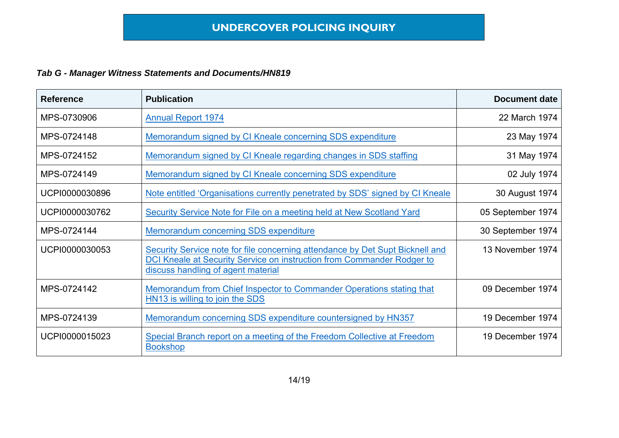| <b>Reference</b> | <b>Publication</b>                                                                                                                                                                            | <b>Document date</b> |
|------------------|-----------------------------------------------------------------------------------------------------------------------------------------------------------------------------------------------|----------------------|
| MPS-0730906      | <b>Annual Report 1974</b>                                                                                                                                                                     | 22 March 1974        |
| MPS-0724148      | Memorandum signed by CI Kneale concerning SDS expenditure                                                                                                                                     | 23 May 1974          |
| MPS-0724152      | Memorandum signed by CI Kneale regarding changes in SDS staffing                                                                                                                              | 31 May 1974          |
| MPS-0724149      | Memorandum signed by CI Kneale concerning SDS expenditure                                                                                                                                     | 02 July 1974         |
| UCPI0000030896   | Note entitled 'Organisations currently penetrated by SDS' signed by CI Kneale                                                                                                                 | 30 August 1974       |
| UCPI0000030762   | Security Service Note for File on a meeting held at New Scotland Yard                                                                                                                         | 05 September 1974    |
| MPS-0724144      | Memorandum concerning SDS expenditure                                                                                                                                                         | 30 September 1974    |
| UCPI0000030053   | Security Service note for file concerning attendance by Det Supt Bicknell and<br>DCI Kneale at Security Service on instruction from Commander Rodger to<br>discuss handling of agent material | 13 November 1974     |
| MPS-0724142      | Memorandum from Chief Inspector to Commander Operations stating that<br>HN13 is willing to join the SDS                                                                                       | 09 December 1974     |
| MPS-0724139      | Memorandum concerning SDS expenditure countersigned by HN357                                                                                                                                  | 19 December 1974     |
| UCPI0000015023   | Special Branch report on a meeting of the Freedom Collective at Freedom<br><b>Bookshop</b>                                                                                                    | 19 December 1974     |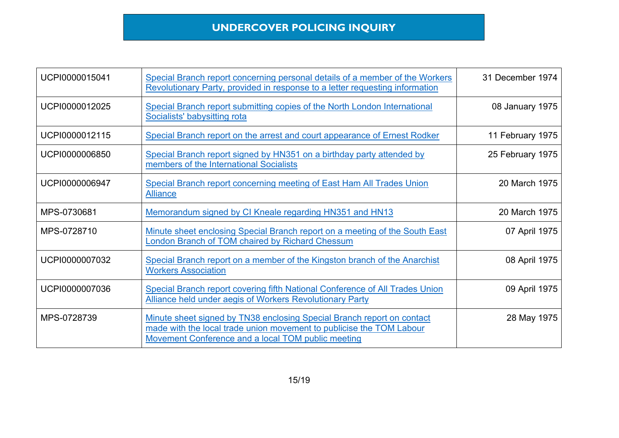| UCPI0000015041 | Special Branch report concerning personal details of a member of the Workers<br>Revolutionary Party, provided in response to a letter requesting information                                         | 31 December 1974 |
|----------------|------------------------------------------------------------------------------------------------------------------------------------------------------------------------------------------------------|------------------|
| UCPI0000012025 | Special Branch report submitting copies of the North London International<br>Socialists' babysitting rota                                                                                            | 08 January 1975  |
| UCPI0000012115 | Special Branch report on the arrest and court appearance of Ernest Rodker                                                                                                                            | 11 February 1975 |
| UCPI0000006850 | Special Branch report signed by HN351 on a birthday party attended by<br>members of the International Socialists                                                                                     | 25 February 1975 |
| UCPI0000006947 | Special Branch report concerning meeting of East Ham All Trades Union<br><b>Alliance</b>                                                                                                             | 20 March 1975    |
| MPS-0730681    | Memorandum signed by CI Kneale regarding HN351 and HN13                                                                                                                                              | 20 March 1975    |
| MPS-0728710    | Minute sheet enclosing Special Branch report on a meeting of the South East<br>London Branch of TOM chaired by Richard Chessum                                                                       | 07 April 1975    |
| UCPI0000007032 | Special Branch report on a member of the Kingston branch of the Anarchist<br><b>Workers Association</b>                                                                                              | 08 April 1975    |
| UCPI0000007036 | Special Branch report covering fifth National Conference of All Trades Union<br>Alliance held under aegis of Workers Revolutionary Party                                                             | 09 April 1975    |
| MPS-0728739    | Minute sheet signed by TN38 enclosing Special Branch report on contact<br>made with the local trade union movement to publicise the TOM Labour<br>Movement Conference and a local TOM public meeting | 28 May 1975      |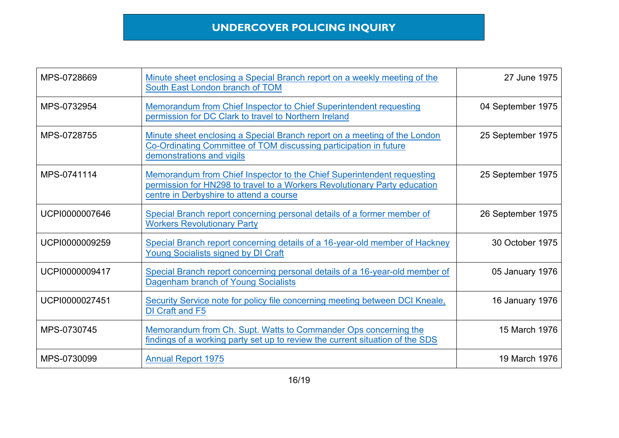| MPS-0728669    | Minute sheet enclosing a Special Branch report on a weekly meeting of the<br>South East London branch of TOM                                                                                   | 27 June 1975      |
|----------------|------------------------------------------------------------------------------------------------------------------------------------------------------------------------------------------------|-------------------|
| MPS-0732954    | Memorandum from Chief Inspector to Chief Superintendent requesting<br>permission for DC Clark to travel to Northern Ireland                                                                    | 04 September 1975 |
| MPS-0728755    | Minute sheet enclosing a Special Branch report on a meeting of the London<br>Co-Ordinating Committee of TOM discussing participation in future<br>demonstrations and vigils                    | 25 September 1975 |
| MPS-0741114    | Memorandum from Chief Inspector to the Chief Superintendent requesting<br>permission for HN298 to travel to a Workers Revolutionary Party education<br>centre in Derbyshire to attend a course | 25 September 1975 |
| UCPI0000007646 | Special Branch report concerning personal details of a former member of<br><b>Workers Revolutionary Party</b>                                                                                  | 26 September 1975 |
| UCPI0000009259 | Special Branch report concerning details of a 16-year-old member of Hackney<br>Young Socialists signed by DI Craft                                                                             | 30 October 1975   |
| UCPI0000009417 | Special Branch report concerning personal details of a 16-year-old member of<br>Dagenham branch of Young Socialists                                                                            | 05 January 1976   |
| UCPI0000027451 | Security Service note for policy file concerning meeting between DCI Kneale,<br>DI Craft and F5                                                                                                | 16 January 1976   |
| MPS-0730745    | Memorandum from Ch. Supt. Watts to Commander Ops concerning the<br>findings of a working party set up to review the current situation of the SDS                                               | 15 March 1976     |
| MPS-0730099    | <b>Annual Report 1975</b>                                                                                                                                                                      | 19 March 1976     |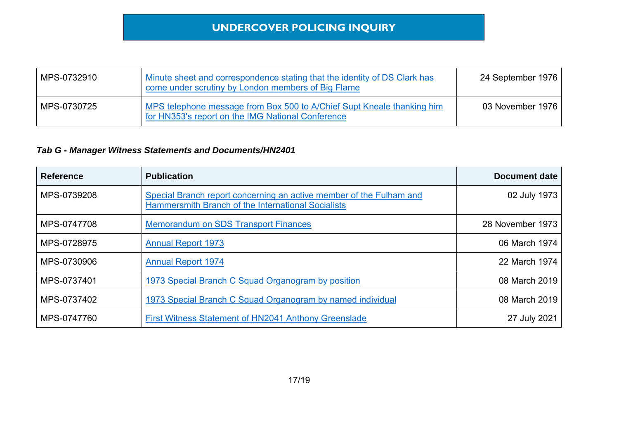| MPS-0732910 | Minute sheet and correspondence stating that the identity of DS Clark has<br>come under scrutiny by London members of Big Flame | 24 September 1976 |
|-------------|---------------------------------------------------------------------------------------------------------------------------------|-------------------|
| MPS-0730725 | MPS telephone message from Box 500 to A/Chief Supt Kneale thanking him<br>for HN353's report on the IMG National Conference     | 03 November 1976  |

| <b>Reference</b> | <b>Publication</b>                                                                                                        | <b>Document date</b> |
|------------------|---------------------------------------------------------------------------------------------------------------------------|----------------------|
| MPS-0739208      | Special Branch report concerning an active member of the Fulham and<br>Hammersmith Branch of the International Socialists | 02 July 1973         |
| MPS-0747708      | <b>Memorandum on SDS Transport Finances</b>                                                                               | 28 November 1973     |
| MPS-0728975      | <b>Annual Report 1973</b>                                                                                                 | 06 March 1974        |
| MPS-0730906      | <b>Annual Report 1974</b>                                                                                                 | 22 March 1974        |
| MPS-0737401      | 1973 Special Branch C Squad Organogram by position                                                                        | 08 March 2019        |
| MPS-0737402      | 1973 Special Branch C Squad Organogram by named individual                                                                | 08 March 2019        |
| MPS-0747760      | First Witness Statement of HN2041 Anthony Greenslade                                                                      | 27 July 2021         |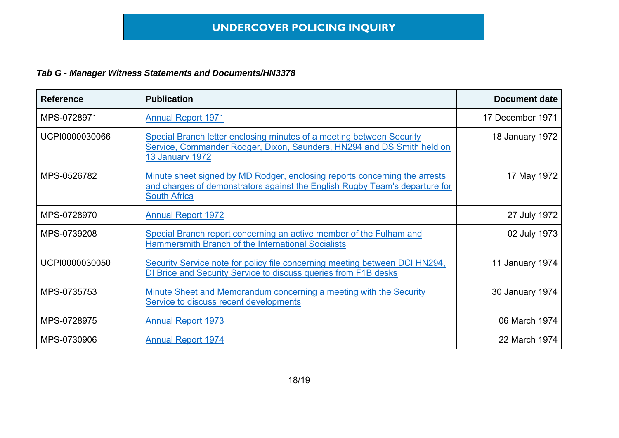| <b>Reference</b> | <b>Publication</b>                                                                                                                                                               | <b>Document date</b> |
|------------------|----------------------------------------------------------------------------------------------------------------------------------------------------------------------------------|----------------------|
| MPS-0728971      | <b>Annual Report 1971</b>                                                                                                                                                        | 17 December 1971     |
| UCPI0000030066   | Special Branch letter enclosing minutes of a meeting between Security<br>Service, Commander Rodger, Dixon, Saunders, HN294 and DS Smith held on<br><b>13 January 1972</b>        | 18 January 1972      |
| MPS-0526782      | Minute sheet signed by MD Rodger, enclosing reports concerning the arrests<br>and charges of demonstrators against the English Rugby Team's departure for<br><b>South Africa</b> | 17 May 1972          |
| MPS-0728970      | <b>Annual Report 1972</b>                                                                                                                                                        | 27 July 1972         |
| MPS-0739208      | Special Branch report concerning an active member of the Fulham and<br>Hammersmith Branch of the International Socialists                                                        | 02 July 1973         |
| UCPI0000030050   | Security Service note for policy file concerning meeting between DCI HN294,<br>DI Brice and Security Service to discuss queries from F1B desks                                   | 11 January 1974      |
| MPS-0735753      | Minute Sheet and Memorandum concerning a meeting with the Security<br>Service to discuss recent developments                                                                     | 30 January 1974      |
| MPS-0728975      | <b>Annual Report 1973</b>                                                                                                                                                        | 06 March 1974        |
| MPS-0730906      | <b>Annual Report 1974</b>                                                                                                                                                        | 22 March 1974        |